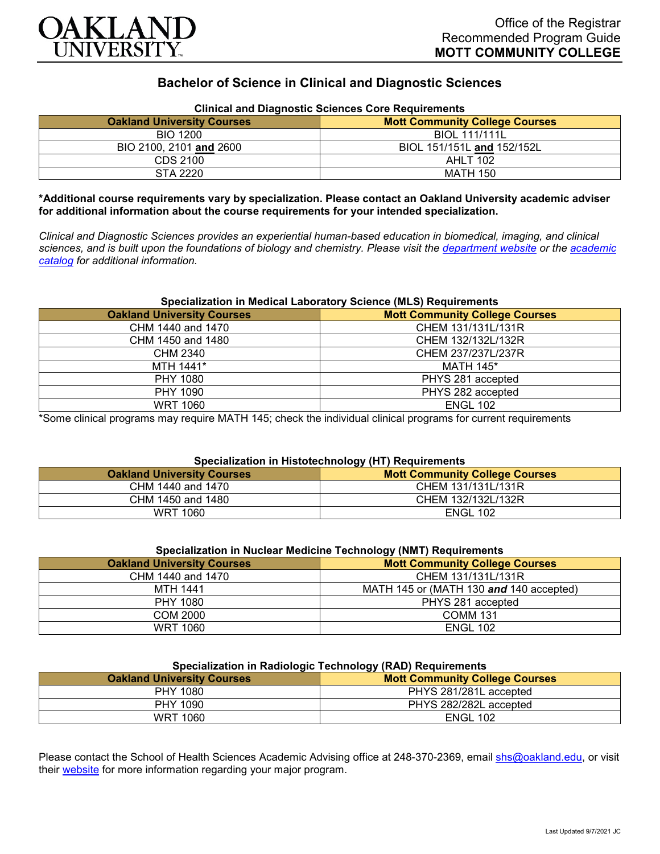

# **Bachelor of Science in Clinical and Diagnostic Sciences**

| Clinical and Diagnostic Sciences Core Requirements |                                       |  |
|----------------------------------------------------|---------------------------------------|--|
| <b>Oakland University Courses</b>                  | <b>Mott Community College Courses</b> |  |
| <b>BIO 1200</b>                                    | <b>BIOL 111/111L</b>                  |  |
| BIO 2100, 2101 and 2600                            | BIOL 151/151L and 152/152L            |  |
| CDS 2100                                           | AHLT 102                              |  |
| STA 2220                                           | MATH 150                              |  |

# **Clinical and Diagnostic Sciences Core Requirements**

**\*Additional course requirements vary by specialization. Please contact an Oakland University academic adviser for additional information about the course requirements for your intended specialization.**

*Clinical and Diagnostic Sciences provides an experiential human-based education in biomedical, imaging, and clinical sciences, and is built upon the foundations of biology and chemistry. Please visit the [department website](https://www.oakland.edu/shs/clinical-and-diagnostic-sciences/) or the [academic](http://catalog.oakland.edu/preview_program.php?catoid=53&poid=8663)  [catalog](http://catalog.oakland.edu/preview_program.php?catoid=53&poid=8663) for additional information.*

## **Specialization in Medical Laboratory Science (MLS) Requirements**

| <b>Oakland University Courses</b> | <b>Mott Community College Courses</b> |
|-----------------------------------|---------------------------------------|
| CHM 1440 and 1470                 | CHEM 131/131L/131R                    |
| CHM 1450 and 1480                 | CHEM 132/132L/132R                    |
| <b>CHM 2340</b>                   | CHEM 237/237L/237R                    |
| MTH 1441*                         | <b>MATH 145*</b>                      |
| PHY 1080                          | PHYS 281 accepted                     |
| PHY 1090                          | PHYS 282 accepted                     |
| <b>WRT 1060</b>                   | <b>ENGL 102</b>                       |

\*Some clinical programs may require MATH 145; check the individual clinical programs for current requirements

### **Specialization in Histotechnology (HT) Requirements**

| <b>Oakland University Courses</b> | Mott Community College Courses |
|-----------------------------------|--------------------------------|
| CHM 1440 and 1470                 | CHEM 131/131L/131R             |
| CHM 1450 and 1480                 | CHEM 132/132L/132R             |
| WRT 1060                          | <b>ENGL 102</b>                |

| <b>Oakland University Courses</b> | <b>Mott Community College Courses</b>   |
|-----------------------------------|-----------------------------------------|
| CHM 1440 and 1470                 | CHEM 131/131L/131R                      |
| <b>MTH 1441</b>                   | MATH 145 or (MATH 130 and 140 accepted) |
| PHY 1080                          | PHYS 281 accepted                       |
| COM 2000                          | <b>COMM 131</b>                         |
| <b>WRT 1060</b>                   | <b>ENGL 102</b>                         |

## **Specialization in Radiologic Technology (RAD) Requirements**

| <b>Oakland University Courses</b> | .<br><b>Mott Community College Courses</b> |
|-----------------------------------|--------------------------------------------|
| <b>PHY 1080</b>                   | PHYS 281/281L accepted                     |
| PHY 1090                          | PHYS 282/282L accepted                     |
| <b>WRT 1060</b>                   | <b>ENGL 102</b>                            |

Please contact the School of Health Sciences Academic Advising office at 248-370-2369, email [shs@oakland.edu,](mailto:shs@oakland.edu) or visit their [website](http://www.oakland.edu/shs/advising) for more information regarding your major program.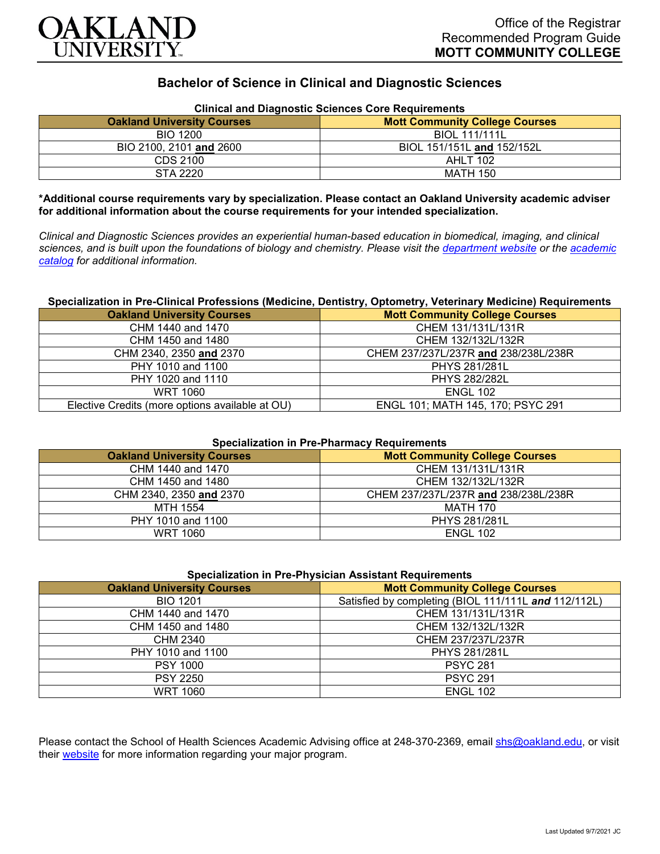

# **Bachelor of Science in Clinical and Diagnostic Sciences**

| Clinical and Diagnostic Sciences Core Requirements |                                       |  |
|----------------------------------------------------|---------------------------------------|--|
| <b>Oakland University Courses</b>                  | <b>Mott Community College Courses</b> |  |
| <b>BIO 1200</b>                                    | <b>BIOL 111/111L</b>                  |  |
| BIO 2100, 2101 and 2600                            | BIOL 151/151L and 152/152L            |  |
| CDS 2100                                           | <b>AHLT 102</b>                       |  |
| STA 2220                                           | MATH 150                              |  |

## **Clinical and Diagnostic Sciences Core Requirements**

**\*Additional course requirements vary by specialization. Please contact an Oakland University academic adviser for additional information about the course requirements for your intended specialization.**

*Clinical and Diagnostic Sciences provides an experiential human-based education in biomedical, imaging, and clinical sciences, and is built upon the foundations of biology and chemistry. Please visit the [department website](https://www.oakland.edu/shs/clinical-and-diagnostic-sciences/) or the [academic](http://catalog.oakland.edu/preview_program.php?catoid=53&poid=8663)  [catalog](http://catalog.oakland.edu/preview_program.php?catoid=53&poid=8663) for additional information.*

## **Specialization in Pre-Clinical Professions (Medicine, Dentistry, Optometry, Veterinary Medicine) Requirements**

| <b>Oakland University Courses</b>               | <b>Mott Community College Courses</b> |
|-------------------------------------------------|---------------------------------------|
| CHM 1440 and 1470                               | CHEM 131/131L/131R                    |
| CHM 1450 and 1480                               | CHEM 132/132L/132R                    |
| CHM 2340, 2350 and 2370                         | CHEM 237/237L/237R and 238/238L/238R  |
| PHY 1010 and 1100                               | <b>PHYS 281/281L</b>                  |
| PHY 1020 and 1110                               | <b>PHYS 282/282L</b>                  |
| WRT 1060                                        | <b>ENGL 102</b>                       |
| Elective Credits (more options available at OU) | ENGL 101; MATH 145, 170; PSYC 291     |

#### **Specialization in Pre-Pharmacy Requirements**

| <b>Oakland University Courses</b> | <b>Mott Community College Courses</b> |
|-----------------------------------|---------------------------------------|
| CHM 1440 and 1470                 | CHEM 131/131L/131R                    |
| CHM 1450 and 1480                 | CHEM 132/132L/132R                    |
| CHM 2340, 2350 and 2370           | CHEM 237/237L/237R and 238/238L/238R  |
| MTH 1554                          | MATH 170                              |
| PHY 1010 and 1100                 | <b>PHYS 281/281L</b>                  |
| WRT 1060                          | <b>ENGL 102</b>                       |

| <b>Specialization in Pre-Physician Assistant Requirements</b> |  |
|---------------------------------------------------------------|--|
|                                                               |  |

| <b>Oakland University Courses</b> | <b>Mott Community College Courses</b>                |
|-----------------------------------|------------------------------------------------------|
| <b>BIO 1201</b>                   | Satisfied by completing (BIOL 111/111L and 112/112L) |
| CHM 1440 and 1470                 | CHEM 131/131L/131R                                   |
| CHM 1450 and 1480                 | CHEM 132/132L/132R                                   |
| CHM 2340                          | CHEM 237/237L/237R                                   |
| PHY 1010 and 1100                 | <b>PHYS 281/281L</b>                                 |
| <b>PSY 1000</b>                   | <b>PSYC 281</b>                                      |
| <b>PSY 2250</b>                   | <b>PSYC 291</b>                                      |
| <b>WRT 1060</b>                   | <b>ENGL 102</b>                                      |

Please contact the School of Health Sciences Academic Advising office at 248-370-2369, email [shs@oakland.edu,](mailto:shs@oakland.edu) or visit their [website](http://www.oakland.edu/shs/advising) for more information regarding your major program.